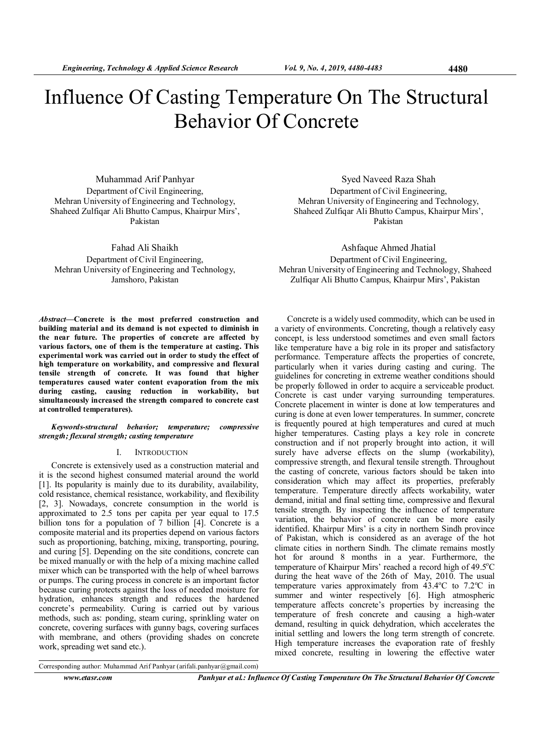# Influence Of Casting Temperature On The Structural Behavior Of Concrete

Muhammad Arif Panhyar Department of Civil Engineering, Mehran University of Engineering and Technology, Shaheed Zulfiqar Ali Bhutto Campus, Khairpur Mirs', Pakistan

Fahad Ali Shaikh Department of Civil Engineering, Mehran University of Engineering and Technology, Jamshoro, Pakistan

Abstract—Concrete is the most preferred construction and building material and its demand is not expected to diminish in the near future. The properties of concrete are affected by various factors, one of them is the temperature at casting. This experimental work was carried out in order to study the effect of high temperature on workability, and compressive and flexural tensile strength of concrete. It was found that higher temperatures caused water content evaporation from the mix during casting, causing reduction in workability, but simultaneously increased the strength compared to concrete cast at controlled temperatures).

# Keywords-structural behavior; temperature; compressive strength; flexural strength; casting temperature

## I. INTRODUCTION

Concrete is extensively used as a construction material and it is the second highest consumed material around the world [1]. Its popularity is mainly due to its durability, availability, cold resistance, chemical resistance, workability, and flexibility [2, 3]. Nowadays, concrete consumption in the world is approximated to 2.5 tons per capita per year equal to 17.5 billion tons for a population of 7 billion [4]. Concrete is a composite material and its properties depend on various factors such as proportioning, batching, mixing, transporting, pouring, and curing [5]. Depending on the site conditions, concrete can be mixed manually or with the help of a mixing machine called mixer which can be transported with the help of wheel barrows or pumps. The curing process in concrete is an important factor because curing protects against the loss of needed moisture for hydration, enhances strength and reduces the hardened concrete's permeability. Curing is carried out by various methods, such as: ponding, steam curing, sprinkling water on concrete, covering surfaces with gunny bags, covering surfaces with membrane, and others (providing shades on concrete work, spreading wet sand etc.).

Syed Naveed Raza Shah Department of Civil Engineering, Mehran University of Engineering and Technology, Shaheed Zulfiqar Ali Bhutto Campus, Khairpur Mirs', Pakistan

Ashfaque Ahmed Jhatial Department of Civil Engineering, Mehran University of Engineering and Technology, Shaheed Zulfiqar Ali Bhutto Campus, Khairpur Mirs', Pakistan

Concrete is a widely used commodity, which can be used in a variety of environments. Concreting, though a relatively easy concept, is less understood sometimes and even small factors like temperature have a big role in its proper and satisfactory performance. Temperature affects the properties of concrete, particularly when it varies during casting and curing. The guidelines for concreting in extreme weather conditions should be properly followed in order to acquire a serviceable product. Concrete is cast under varying surrounding temperatures. Concrete placement in winter is done at low temperatures and curing is done at even lower temperatures. In summer, concrete is frequently poured at high temperatures and cured at much higher temperatures. Casting plays a key role in concrete construction and if not properly brought into action, it will surely have adverse effects on the slump (workability), compressive strength, and flexural tensile strength. Throughout the casting of concrete, various factors should be taken into consideration which may affect its properties, preferably temperature. Temperature directly affects workability, water demand, initial and final setting time, compressive and flexural tensile strength. By inspecting the influence of temperature variation, the behavior of concrete can be more easily identified. Khairpur Mirs' is a city in northern Sindh province of Pakistan, which is considered as an average of the hot climate cities in northern Sindh. The climate remains mostly hot for around 8 months in a year. Furthermore, the temperature of Khairpur Mirs' reached a record high of 49.5°C during the heat wave of the 26th of May, 2010. The usual temperature varies approximately from  $43.4^{\circ}$ C to  $7.2^{\circ}$ C in summer and winter respectively [6]. High atmospheric temperature affects concrete's properties by increasing the temperature of fresh concrete and causing a high-water demand, resulting in quick dehydration, which accelerates the initial settling and lowers the long term strength of concrete. High temperature increases the evaporation rate of freshly mixed concrete, resulting in lowering the effective water

Corresponding author: Muhammad Arif Panhyar (arifali.panhyar@gmail.com)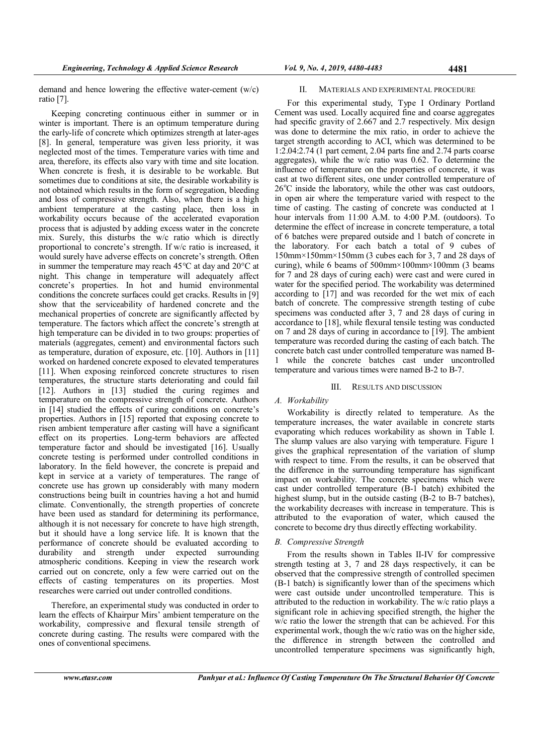demand and hence lowering the effective water-cement (w/c) ratio [7].

Keeping concreting continuous either in summer or in winter is important. There is an optimum temperature during the early-life of concrete which optimizes strength at later-ages [8]. In general, temperature was given less priority, it was neglected most of the times. Temperature varies with time and area, therefore, its effects also vary with time and site location. When concrete is fresh, it is desirable to be workable. But sometimes due to conditions at site, the desirable workability is not obtained which results in the form of segregation, bleeding and loss of compressive strength. Also, when there is a high ambient temperature at the casting place, then loss in workability occurs because of the accelerated evaporation process that is adjusted by adding excess water in the concrete mix. Surely, this disturbs the w/c ratio which is directly proportional to concrete's strength. If w/c ratio is increased, it would surely have adverse effects on concrete's strength. Often in summer the temperature may reach 45°C at day and 20°C at night. This change in temperature will adequately affect concrete's properties. In hot and humid environmental conditions the concrete surfaces could get cracks. Results in [9] show that the serviceability of hardened concrete and the mechanical properties of concrete are significantly affected by temperature. The factors which affect the concrete's strength at high temperature can be divided in to two groups: properties of materials (aggregates, cement) and environmental factors such as temperature, duration of exposure, etc. [10]. Authors in [11] worked on hardened concrete exposed to elevated temperatures [11]. When exposing reinforced concrete structures to risen temperatures, the structure starts deteriorating and could fail [12]. Authors in [13] studied the curing regimes and temperature on the compressive strength of concrete. Authors in [14] studied the effects of curing conditions on concrete's properties. Authors in [15] reported that exposing concrete to risen ambient temperature after casting will have a significant effect on its properties. Long-term behaviors are affected temperature factor and should be investigated [16]. Usually concrete testing is performed under controlled conditions in laboratory. In the field however, the concrete is prepaid and kept in service at a variety of temperatures. The range of concrete use has grown up considerably with many modern constructions being built in countries having a hot and humid climate. Conventionally, the strength properties of concrete have been used as standard for determining its performance, although it is not necessary for concrete to have high strength, but it should have a long service life. It is known that the performance of concrete should be evaluated according to durability and strength under expected surrounding atmospheric conditions. Keeping in view the research work carried out on concrete, only a few were carried out on the effects of casting temperatures on its properties. Most researches were carried out under controlled conditions.

Therefore, an experimental study was conducted in order to learn the effects of Khairpur Mirs' ambient temperature on the workability, compressive and flexural tensile strength of concrete during casting. The results were compared with the ones of conventional specimens.

## II. MATERIALS AND EXPERIMENTAL PROCEDURE

For this experimental study, Type I Ordinary Portland Cement was used. Locally acquired fine and coarse aggregates had specific gravity of 2.667 and 2.7 respectively. Mix design was done to determine the mix ratio, in order to achieve the target strength according to ACI, which was determined to be 1:2.04:2.74 (1 part cement, 2.04 parts fine and 2.74 parts coarse aggregates), while the w/c ratio was 0.62. To determine the influence of temperature on the properties of concrete, it was cast at two different sites, one under controlled temperature of  $26^{\circ}$ C inside the laboratory, while the other was cast outdoors, in open air where the temperature varied with respect to the time of casting. The casting of concrete was conducted at 1 hour intervals from 11:00 A.M. to 4:00 P.M. (outdoors). To determine the effect of increase in concrete temperature, a total of 6 batches were prepared outside and 1 batch of concrete in the laboratory. For each batch a total of 9 cubes of 150mm×150mm×150mm (3 cubes each for 3, 7 and 28 days of curing), while 6 beams of 500mm×100mm×100mm (3 beams for 7 and 28 days of curing each) were cast and were cured in water for the specified period. The workability was determined according to [17] and was recorded for the wet mix of each batch of concrete. The compressive strength testing of cube specimens was conducted after 3, 7 and 28 days of curing in accordance to [18], while flexural tensile testing was conducted on 7 and 28 days of curing in accordance to [19]. The ambient temperature was recorded during the casting of each batch. The concrete batch cast under controlled temperature was named B-1 while the concrete batches cast under uncontrolled temperature and various times were named B-2 to B-7.

## III. RESULTS AND DISCUSSION

# A. Workability

Workability is directly related to temperature. As the temperature increases, the water available in concrete starts evaporating which reduces workability as shown in Table I. The slump values are also varying with temperature. Figure 1 gives the graphical representation of the variation of slump with respect to time. From the results, it can be observed that the difference in the surrounding temperature has significant impact on workability. The concrete specimens which were cast under controlled temperature (B-1 batch) exhibited the highest slump, but in the outside casting (B-2 to B-7 batches). the workability decreases with increase in temperature. This is attributed to the evaporation of water, which caused the concrete to become dry thus directly effecting workability.

## B. Compressive Strength

From the results shown in Tables II-IV for compressive strength testing at 3, 7 and 28 days respectively, it can be observed that the compressive strength of controlled specimen (B-1 batch) is significantly lower than of the specimens which were cast outside under uncontrolled temperature. This is attributed to the reduction in workability. The w/c ratio plays a significant role in achieving specified strength, the higher the w/c ratio the lower the strength that can be achieved. For this experimental work, though the w/c ratio was on the higher side, the difference in strength between the controlled and uncontrolled temperature specimens was significantly high,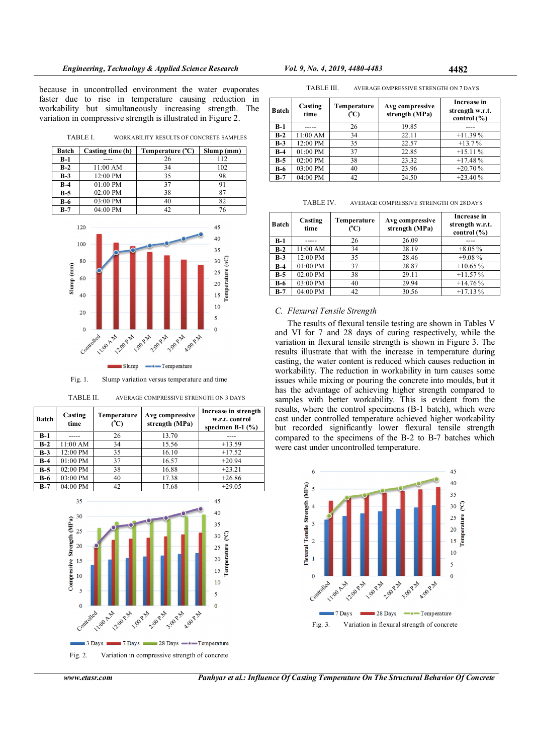because in uncontrolled environment the water evaporates faster due to rise in temperature causing reduction in workability but simultaneously increasing strength. The variation in compressive strength is illustrated in Figure 2.

TABLE I. WORKABILITY RESULTS OF CONCRETE SAMPLES

| Batch      | Casting time (h) | Temperature (°C) | Slump(mm) |
|------------|------------------|------------------|-----------|
| B-1        |                  | 26               | 112       |
| $B-2$      | 11:00 AM         | 34               | 102       |
| $B-3$      | 12:00 PM         | 35               | 98        |
| $B-4$      | 01:00 PM         | 37               |           |
| $B-5$      | 02:00 PM         | 38               |           |
| <b>B-6</b> | 03:00 PM         | 40               | 82        |
| $B-7$      | $04:00$ PM       | 42               |           |



Fig. 1. Slump variation versus temperature and time

| TABLE II. | AVERAGE COMPRESSIVE STRENGTH ON 3 DAYS |  |
|-----------|----------------------------------------|--|
|-----------|----------------------------------------|--|

| <b>Batch</b> | Casting<br>time | Temperature<br>(°C) | Avg compressive<br>strength (MPa) | Increase in strength<br>w.r.t. control<br>specimen B-1 $(\%$ ) |
|--------------|-----------------|---------------------|-----------------------------------|----------------------------------------------------------------|
| B-1          |                 | 26                  | 13.70                             |                                                                |
| $B-2$        | 11:00 AM        | 34                  | 15.56                             | $+13.59$                                                       |
| $B-3$        | 12:00 PM        | 35                  | 16.10                             | $+17.52$                                                       |
| $B-4$        | 01:00 PM        | 37                  | 16.57                             | $+20.94$                                                       |
| $B-5$        | 02:00 PM        | 38                  | 16.88                             | $+23.21$                                                       |
| <b>B-6</b>   | 03:00 PM        | 40                  | 17.38                             | $+26.86$                                                       |
| $B-7$        | 04:00 PM        | 42                  | 17.68                             | $+29.05$                                                       |



Fig. 2. Variation in compressive strength of concrete

| TABLE III. | AVERAGE OMPRESSIVE STRENGTH ON 7 DAYS |  |
|------------|---------------------------------------|--|
|            |                                       |  |

| <b>Batch</b> | Casting<br>time | Temperature<br>(C) | Avg compressive<br>strength (MPa) | Increase in<br>strength w.r.t.<br>control $(\% )$ |
|--------------|-----------------|--------------------|-----------------------------------|---------------------------------------------------|
| $B-1$        |                 | 26                 | 19.85                             |                                                   |
| $B-2$        | 11:00 AM        | 34                 | 22.11                             | $+11.39%$                                         |
| $B-3$        | 12:00 PM        | 35                 | 22.57                             | $+13.7%$                                          |
| $B-4$        | 01:00 PM        | 37                 | 22.85                             | $+15.11%$                                         |
| $B-5$        | 02:00 PM        | 38                 | 23.32                             | $+17.48%$                                         |
| $B-6$        | 03:00 PM        | 40                 | 23.96                             | $+20.70%$                                         |
| $B-7$        | 04:00 PM        | 42                 | 24.50                             | $+23.40%$                                         |

| TABLE IV.<br>AVERAGE COMPRESSIVE STRENGTH ON 28 DAYS |  |
|------------------------------------------------------|--|
|------------------------------------------------------|--|

| Batch | Casting<br>time | Temperature<br>(°C) | Avg compressive<br>strength (MPa) | Increase in<br>strength w.r.t.<br>control $(\% )$ |
|-------|-----------------|---------------------|-----------------------------------|---------------------------------------------------|
| $B-1$ |                 | 26                  | 26.09                             |                                                   |
| $B-2$ | 11:00 AM        | 34                  | 28.19                             | $+8.05%$                                          |
| $B-3$ | 12:00 PM        | 35                  | 28.46                             | $+9.08%$                                          |
| $B-4$ | 01:00 PM        | 37                  | 28.87                             | $+10.65%$                                         |
| $B-5$ | 02:00 PM        | 38                  | 29.11                             | $+11.57%$                                         |
| $B-6$ | 03:00 PM        | 40                  | 29.94                             | $+14.76%$                                         |
| $B-7$ | 04:00 PM        | 42                  | 30.56                             | $+17.13%$                                         |

## C. Flexural Tensile Strength

The results of flexural tensile testing are shown in Tables V and VI for 7 and 28 days of curing respectively, while the variation in flexural tensile strength is shown in Figure 3. The results illustrate that with the increase in temperature during casting, the water content is reduced which causes reduction in workability. The reduction in workability in turn causes some issues while mixing or pouring the concrete into moulds, but it has the advantage of achieving higher strength compared to samples with better workability. This is evident from the results, where the control specimens (B-1 batch), which were cast under controlled temperature achieved higher workability but recorded significantly lower flexural tensile strength compared to the specimens of the B-2 to B-7 batches which were cast under uncontrolled temperature.